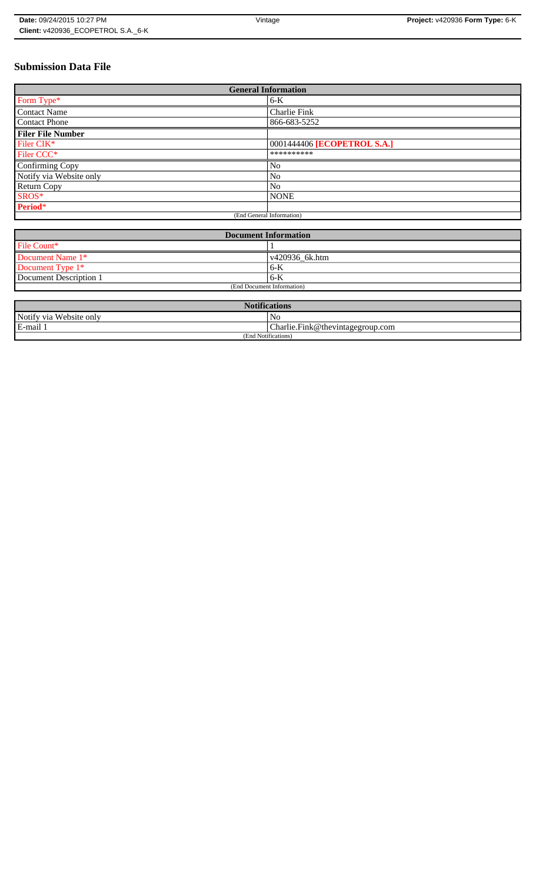# **Submission Data File**

| <b>General Information</b> |                             |  |
|----------------------------|-----------------------------|--|
| Form Type*                 | $6-K$                       |  |
| <b>Contact Name</b>        | Charlie Fink                |  |
| <b>Contact Phone</b>       | 866-683-5252                |  |
| <b>Filer File Number</b>   |                             |  |
| Filer CIK*                 | 0001444406 [ECOPETROL S.A.] |  |
| Filer CCC <sup>*</sup>     | **********                  |  |
| Confirming Copy            | No                          |  |
| Notify via Website only    | N <sub>o</sub>              |  |
| <b>Return Copy</b>         | N <sub>o</sub>              |  |
| SROS*                      | <b>NONE</b>                 |  |
| Period*                    |                             |  |
| (End General Information)  |                             |  |

| <b>Document Information</b> |                |  |
|-----------------------------|----------------|--|
| File Count*                 |                |  |
| Document Name 1*            | v420936_6k.htm |  |
| Document Type 1*            | $6 - K$        |  |
| Document Description 1      | $6-K$          |  |
| (End Document Information)  |                |  |

| <b>Notifications</b>       |                                  |  |
|----------------------------|----------------------------------|--|
| Notify via<br>Website only | No                               |  |
| E-mail                     | Charlie.Fink@thevintagegroup.com |  |
| (End Notifications)        |                                  |  |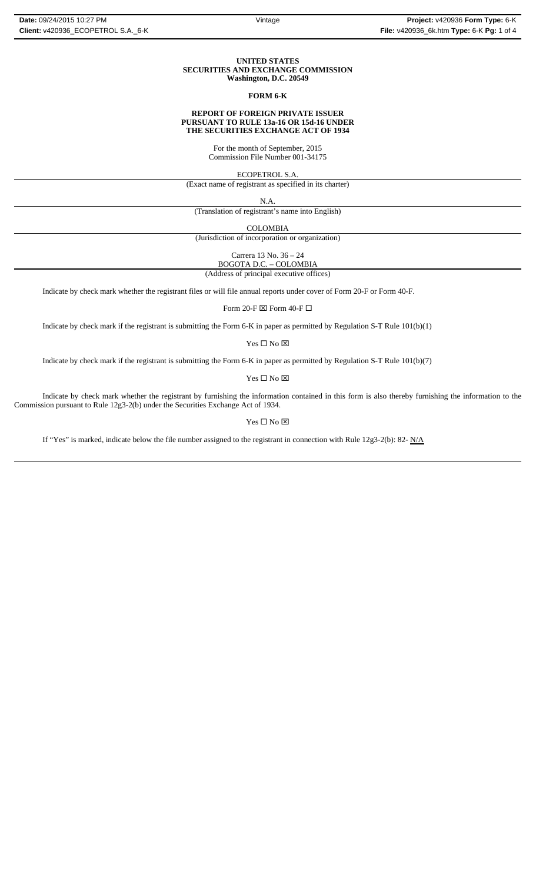#### **UNITED STATES SECURITIES AND EXCHANGE COMMISSION Washington, D.C. 20549**

### **FORM 6-K**

#### **REPORT OF FOREIGN PRIVATE ISSUER PURSUANT TO RULE 13a-16 OR 15d-16 UNDER THE SECURITIES EXCHANGE ACT OF 1934**

For the month of September, 2015 Commission File Number 001-34175

ECOPETROL S.A.

(Exact name of registrant as specified in its charter)

N.A.

(Translation of registrant's name into English)

COLOMBIA

(Jurisdiction of incorporation or organization)

Carrera 13 No. 36 – 24 BOGOTA D.C. – COLOMBIA

(Address of principal executive offices)

Indicate by check mark whether the registrant files or will file annual reports under cover of Form 20-F or Form 40-F.

Form 20-F  $\boxtimes$  Form 40-F  $\Box$ 

Indicate by check mark if the registrant is submitting the Form 6-K in paper as permitted by Regulation S-T Rule 101(b)(1)

 $\mathbf{Yes} \ \square \ \mathbf{No} \ \boxtimes$ 

Indicate by check mark if the registrant is submitting the Form 6-K in paper as permitted by Regulation S-T Rule 101(b)(7)

 $\mathbf{Yes} \ \square \ \mathbf{No} \ \boxtimes$ 

Indicate by check mark whether the registrant by furnishing the information contained in this form is also thereby furnishing the information to the Commission pursuant to Rule 12g3-2(b) under the Securities Exchange Act of 1934.

### $Yes \Box No \boxtimes$

If "Yes" is marked, indicate below the file number assigned to the registrant in connection with Rule 12g3-2(b): 82- N/A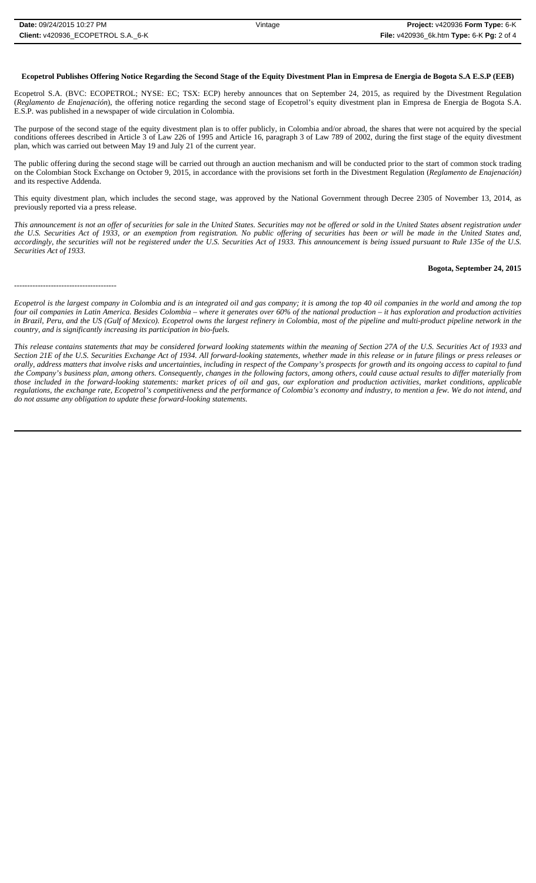# **Ecopetrol Publishes Offering Notice Regarding the Second Stage of the Equity Divestment Plan in Empresa de Energia de Bogota S.A E.S.P (EEB)**

Ecopetrol S.A. (BVC: ECOPETROL; NYSE: EC; TSX: ECP) hereby announces that on September 24, 2015, as required by the Divestment Regulation (*Reglamento de Enajenación*), the offering notice regarding the second stage of Ecopetrol's equity divestment plan in Empresa de Energia de Bogota S.A. E.S.P. was published in a newspaper of wide circulation in Colombia.

The purpose of the second stage of the equity divestment plan is to offer publicly, in Colombia and/or abroad, the shares that were not acquired by the special conditions offerees described in Article 3 of Law 226 of 1995 and Article 16, paragraph 3 of Law 789 of 2002, during the first stage of the equity divestment plan, which was carried out between May 19 and July 21 of the current year.

The public offering during the second stage will be carried out through an auction mechanism and will be conducted prior to the start of common stock trading on the Colombian Stock Exchange on October 9, 2015, in accordance with the provisions set forth in the Divestment Regulation (*Reglamento de Enajenación)* and its respective Addenda.

This equity divestment plan, which includes the second stage, was approved by the National Government through Decree 2305 of November 13, 2014, as previously reported via a press release.

*This announcement is not an offer of securities for sale in the United States. Securities may not be offered or sold in the United States absent registration under the U.S. Securities Act of 1933, or an exemption from registration. No public offering of securities has been or will be made in the United States and, accordingly, the securities will not be registered under the U.S. Securities Act of 1933. This announcement is being issued pursuant to Rule 135e of the U.S. Securities Act of 1933.*

# **Bogota, September 24, 2015**

---------------------------------------

*Ecopetrol is the largest company in Colombia and is an integrated oil and gas company; it is among the top 40 oil companies in the world and among the top four oil companies in Latin America. Besides Colombia – where it generates over 60% of the national production – it has exploration and production activities in Brazil, Peru, and the US (Gulf of Mexico). Ecopetrol owns the largest refinery in Colombia, most of the pipeline and multi-product pipeline network in the country, and is significantly increasing its participation in bio-fuels.* 

*This release contains statements that may be considered forward looking statements within the meaning of Section 27A of the U.S. Securities Act of 1933 and Section 21E of the U.S. Securities Exchange Act of 1934. All forward-looking statements, whether made in this release or in future filings or press releases or orally, address matters that involve risks and uncertainties, including in respect of the Company's prospects for growth and its ongoing access to capital to fund the Company's business plan, among others. Consequently, changes in the following factors, among others, could cause actual results to differ materially from those included in the forward-looking statements: market prices of oil and gas, our exploration and production activities, market conditions, applicable regulations, the exchange rate, Ecopetrol's competitiveness and the performance of Colombia's economy and industry, to mention a few. We do not intend, and do not assume any obligation to update these forward-looking statements.*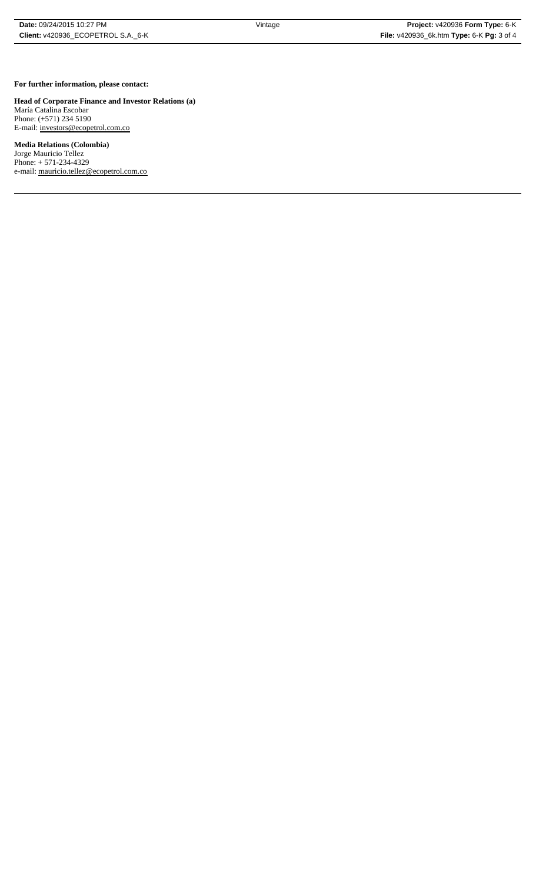**For further information, please contact:** 

**Head of Corporate Finance and Investor Relations (a)** María Catalina Escobar Phone: (+571) 234 5190 E-mail: investors@ecopetrol.com.co

**Media Relations (Colombia)**  Jorge Mauricio Tellez Phone: + 571-234-4329 e-mail: mauricio.tellez@ecopetrol.com.co